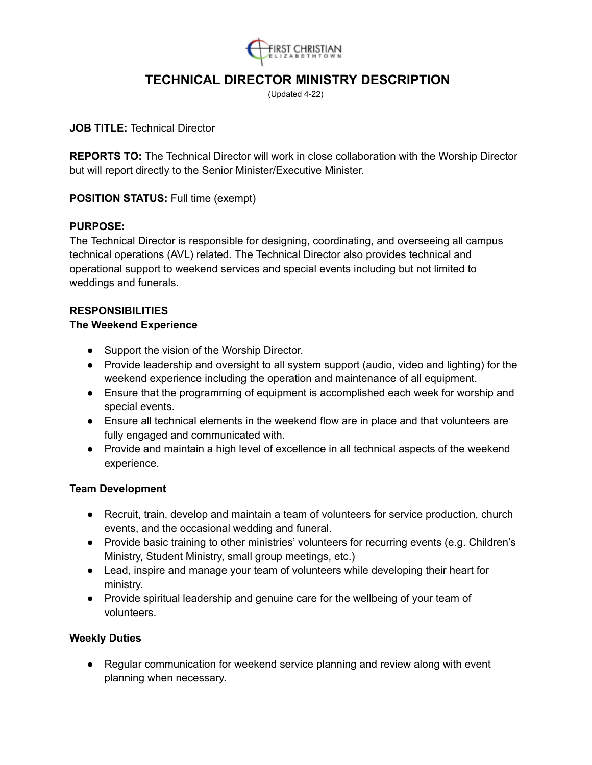

# **TECHNICAL DIRECTOR MINISTRY DESCRIPTION**

(Updated 4-22)

## **JOB TITLE:** Technical Director

**REPORTS TO:** The Technical Director will work in close collaboration with the Worship Director but will report directly to the Senior Minister/Executive Minister.

## **POSITION STATUS:** Full time (exempt)

## **PURPOSE:**

The Technical Director is responsible for designing, coordinating, and overseeing all campus technical operations (AVL) related. The Technical Director also provides technical and operational support to weekend services and special events including but not limited to weddings and funerals.

## **RESPONSIBILITIES**

#### **The Weekend Experience**

- Support the vision of the Worship Director.
- Provide leadership and oversight to all system support (audio, video and lighting) for the weekend experience including the operation and maintenance of all equipment.
- Ensure that the programming of equipment is accomplished each week for worship and special events.
- Ensure all technical elements in the weekend flow are in place and that volunteers are fully engaged and communicated with.
- Provide and maintain a high level of excellence in all technical aspects of the weekend experience.

## **Team Development**

- Recruit, train, develop and maintain a team of volunteers for service production, church events, and the occasional wedding and funeral.
- Provide basic training to other ministries' volunteers for recurring events (e.g. Children's Ministry, Student Ministry, small group meetings, etc.)
- Lead, inspire and manage your team of volunteers while developing their heart for ministry.
- Provide spiritual leadership and genuine care for the wellbeing of your team of volunteers.

#### **Weekly Duties**

● Regular communication for weekend service planning and review along with event planning when necessary.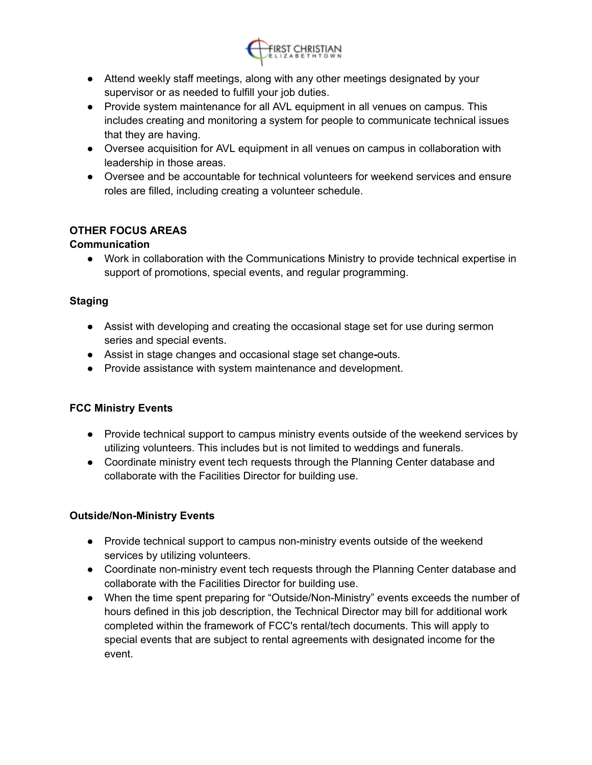

- Attend weekly staff meetings, along with any other meetings designated by your supervisor or as needed to fulfill your job duties.
- Provide system maintenance for all AVL equipment in all venues on campus. This includes creating and monitoring a system for people to communicate technical issues that they are having.
- Oversee acquisition for AVL equipment in all venues on campus in collaboration with leadership in those areas.
- Oversee and be accountable for technical volunteers for weekend services and ensure roles are filled, including creating a volunteer schedule.

# **OTHER FOCUS AREAS**

# **Communication**

● Work in collaboration with the Communications Ministry to provide technical expertise in support of promotions, special events, and regular programming.

# **Staging**

- Assist with developing and creating the occasional stage set for use during sermon series and special events.
- Assist in stage changes and occasional stage set change**-**outs.
- Provide assistance with system maintenance and development.

# **FCC Ministry Events**

- Provide technical support to campus ministry events outside of the weekend services by utilizing volunteers. This includes but is not limited to weddings and funerals.
- Coordinate ministry event tech requests through the Planning Center database and collaborate with the Facilities Director for building use.

# **Outside/Non-Ministry Events**

- Provide technical support to campus non-ministry events outside of the weekend services by utilizing volunteers.
- Coordinate non-ministry event tech requests through the Planning Center database and collaborate with the Facilities Director for building use.
- When the time spent preparing for "Outside/Non-Ministry" events exceeds the number of hours defined in this job description, the Technical Director may bill for additional work completed within the framework of FCC's rental/tech documents. This will apply to special events that are subject to rental agreements with designated income for the event.